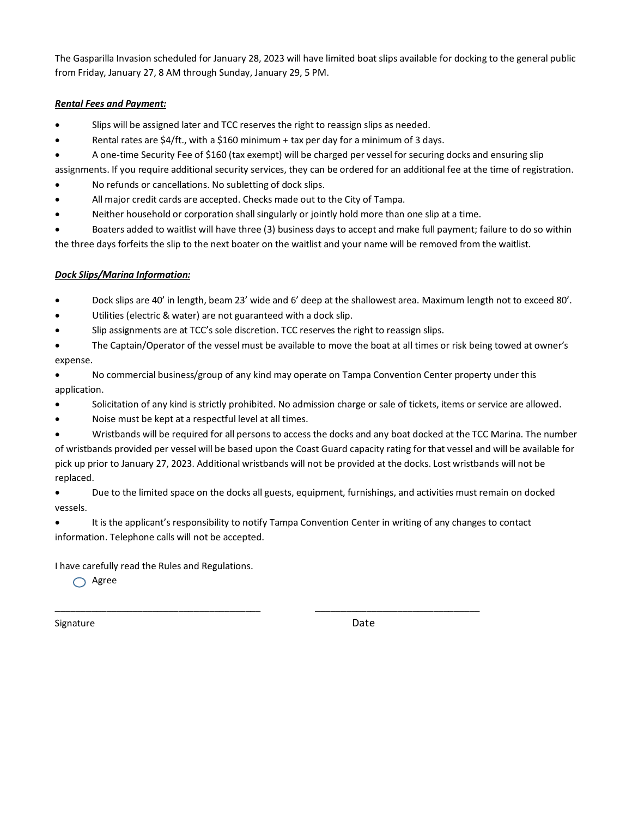The Gasparilla Invasion scheduled for January 28, 2023 will have limited boat slips available for docking to the general public from Friday, January 27, 8 AM through Sunday, January 29, 5 PM.

## *Rental Fees and Payment:*

- Slips will be assigned later and TCC reserves the right to reassign slips as needed.
- Rental rates are  $$4/ft$ ., with a  $$160$  minimum + tax per day for a minimum of 3 days.
- A one-time Security Fee of \$160 (tax exempt) will be charged per vessel for securing docks and ensuring slip
- assignments. If you require additional security services, they can be ordered for an additional fee at the time of registration.
- No refunds or cancellations. No subletting of dock slips.
- All major credit cards are accepted. Checks made out to the City of Tampa.
- Neither household or corporation shall singularly or jointly hold more than one slip at a time.

• Boaters added to waitlist will have three (3) business days to accept and make full payment; failure to do so within the three days forfeits the slip to the next boater on the waitlist and your name will be removed from the waitlist.

## *Dock Slips/Marina Information:*

- Dock slips are 40' in length, beam 23' wide and 6' deep at the shallowest area. Maximum length not to exceed 80'.
- Utilities (electric & water) are not guaranteed with a dock slip.
- Slip assignments are at TCC's sole discretion. TCC reserves the right to reassign slips.
- The Captain/Operator of the vessel must be available to move the boat at all times or risk being towed at owner's expense.
- No commercial business/group of any kind may operate on Tampa Convention Center property under this application.
- Solicitation of any kind is strictly prohibited. No admission charge or sale of tickets, items or service are allowed.
- Noise must be kept at a respectful level at all times.
- Wristbands will be required for all persons to access the docks and any boat docked at the TCC Marina. The number of wristbands provided per vessel will be based upon the Coast Guard capacity rating for that vessel and will be available for pick up prior to January 27, 2023. Additional wristbands will not be provided at the docks. Lost wristbands will not be replaced.
- Due to the limited space on the docks all guests, equipment, furnishings, and activities must remain on docked vessels.
- It is the applicant's responsibility to notify Tampa Convention Center in writing of any changes to contact information. Telephone calls will not be accepted.

\_\_\_\_\_\_\_\_\_\_\_\_\_\_\_\_\_\_\_\_\_\_\_\_\_\_\_\_\_\_\_\_\_\_\_\_\_\_\_\_ \_\_\_\_\_\_\_\_\_\_\_\_\_\_\_\_\_\_\_\_\_\_\_\_\_\_\_\_\_\_\_\_

I have carefully read the Rules and Regulations.

 $\bigcap$  Agree

Signature Date Date Communications and the Date Date Date